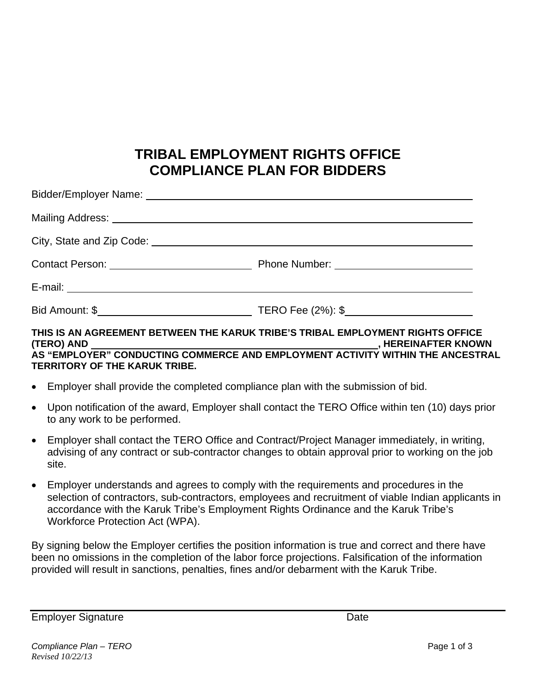# **TRIBAL EMPLOYMENT RIGHTS OFFICE COMPLIANCE PLAN FOR BIDDERS**

#### **THIS IS AN AGREEMENT BETWEEN THE KARUK TRIBE'S TRIBAL EMPLOYMENT RIGHTS OFFICE (TERO) AND , HEREINAFTER KNOWN AS "EMPLOYER" CONDUCTING COMMERCE AND EMPLOYMENT ACTIVITY WITHIN THE ANCESTRAL TERRITORY OF THE KARUK TRIBE.**

- Employer shall provide the completed compliance plan with the submission of bid.
- Upon notification of the award, Employer shall contact the TERO Office within ten (10) days prior to any work to be performed.
- Employer shall contact the TERO Office and Contract/Project Manager immediately, in writing, advising of any contract or sub-contractor changes to obtain approval prior to working on the job site.
- Employer understands and agrees to comply with the requirements and procedures in the selection of contractors, sub-contractors, employees and recruitment of viable Indian applicants in accordance with the Karuk Tribe's Employment Rights Ordinance and the Karuk Tribe's Workforce Protection Act (WPA).

By signing below the Employer certifies the position information is true and correct and there have been no omissions in the completion of the labor force projections. Falsification of the information provided will result in sanctions, penalties, fines and/or debarment with the Karuk Tribe.

Employer Signature **Date**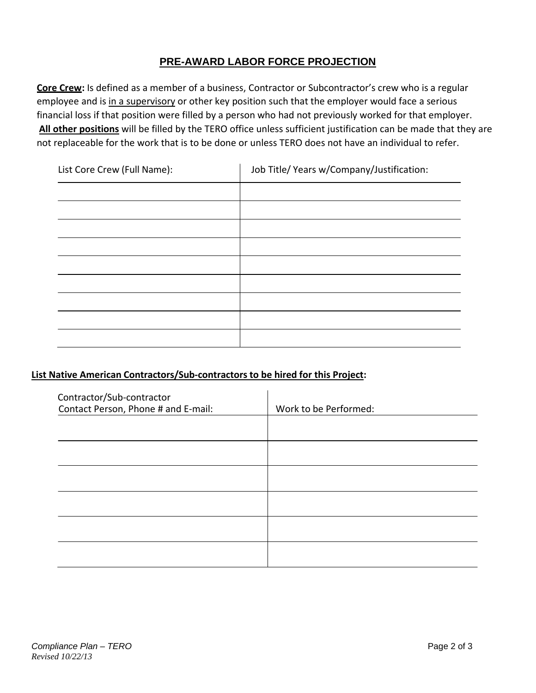## **PRE-AWARD LABOR FORCE PROJECTION**

**Core Crew:** Is defined as a member of a business, Contractor or Subcontractor's crew who is a regular employee and is in a supervisory or other key position such that the employer would face a serious financial loss if that position were filled by a person who had not previously worked for that employer. **All other positions** will be filled by the TERO office unless sufficient justification can be made that they are not replaceable for the work that is to be done or unless TERO does not have an individual to refer.

| List Core Crew (Full Name): | Job Title/ Years w/Company/Justification: |
|-----------------------------|-------------------------------------------|
|                             |                                           |
|                             |                                           |
|                             |                                           |
|                             |                                           |
|                             |                                           |
|                             |                                           |
|                             |                                           |
|                             |                                           |
|                             |                                           |

### **List Native American Contractors/Sub‐contractors to be hired for this Project:**

| Contractor/Sub-contractor<br>Contact Person, Phone # and E-mail: | Work to be Performed: |
|------------------------------------------------------------------|-----------------------|
|                                                                  |                       |
|                                                                  |                       |
|                                                                  |                       |
|                                                                  |                       |
|                                                                  |                       |
|                                                                  |                       |